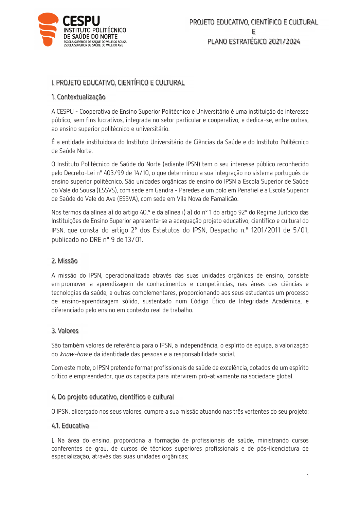

# I. PROJETO EDUCATIVO, CIENTÍFICO E CULTURAL

## 1. Contextualização

A CESPU - Cooperativa de Ensino Superior Politécnico e Universitário é uma instituição de interesse público, sem fins lucrativos, integrada no setor particular e cooperativo, e dedica-se, entre outras, ao ensino superior politécnico e universitário.

É a entidade instituidora do Instituto Universitário de Ciências da Saúde e do Instituto Politécnico de Saúde Norte.

O Instituto Politécnico de Saúde do Norte (adiante IPSN) tem o seu interesse público reconhecido pelo Decreto-Lei nº 403/99 de 14/10, o que determinou a sua integração no sistema português de ensino superior politécnico. São unidades orgânicas de ensino do IPSN a Escola Superior de Saúde do Vale do Sousa (ESSVS), com sede em Gandra - Paredes e um polo em Penafiel e a Escola Superior de Saúde do Vale do Ave (ESSVA), com sede em Vila Nova de Famalicão.

Nos termos da alínea a) do artigo 40.º e da alínea i) a) do nº 1 do artigo 92º do Regime Jurídico das Instituições de Ensino Superior apresenta-se a adequação projeto educativo, científico e cultural do IPSN, que consta do artigo 2º dos Estatutos do IPSN, Despacho n.º 1201/2011 de 5/01, publicado no DRE nº 9 de 13/01.

# 2. Missão

A missão do IPSN, operacionalizada através das suas unidades orgânicas de ensino, consiste em promover a aprendizagem de conhecimentos e competências, nas áreas das ciências e tecnologias da saúde, e outras complementares, proporcionando aos seus estudantes um processo de ensino-aprendizagem sólido, sustentado num Código Ético de Integridade Académica, e diferenciado pelo ensino em contexto real de trabalho.

### 3. Valores

São também valores de referência para o IPSN, a independência, o espírito de equipa, a valorização do know-howe da identidade das pessoas e a responsabilidade social.

Com este mote, o IPSN pretende formar profissionais de saúde de excelência, dotados de um espírito crítico e empreendedor, que os capacita para intervirem pró-ativamente na sociedade global.

### 4. Do projeto educativo, científico e cultural

O IPSN, alicerçado nos seus valores, cumpre a sua missão atuando nas três vertentes do seu projeto:

### 4.1. Educativa

i. Na área do ensino, proporciona a formação de profissionais de saúde, ministrando cursos conferentes de grau, de cursos de técnicos superiores profissionais e de pós-licenciatura de especialização, através das suas unidades orgânicas;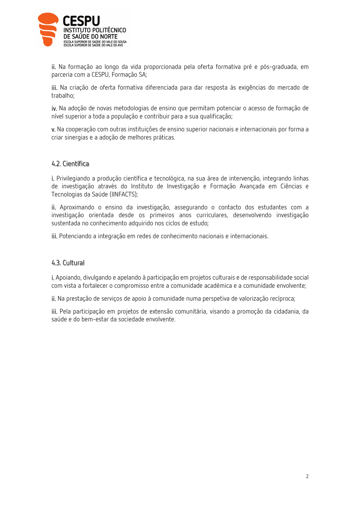

ii. Na formação ao longo da vida proporcionada pela oferta formativa pré e pós-graduada, em parceria com a CESPU, Formação SA;

iii. Na criação de oferta formativa diferenciada para dar resposta às exigências do mercado de trabalho:

iv. Na adoção de novas metodologias de ensino que permitam potenciar o acesso de formação de nível superior a toda a população e contribuir para a sua qualificação;

v. Na cooperação com outras instituições de ensino superior nacionais e internacionais por forma a criar sinergias e a adoção de melhores práticas.

## 4.2. Científica

i. Privilegiando a produção científica e tecnológica, na sua área de intervenção, integrando linhas de investigação através do Instituto de Investigação e Formação Avançada em Ciências e Tecnologias da Saúde (IINFACTS);

ii. Aproximando o ensino da investigação, assegurando o contacto dos estudantes com a investigação orientada desde os primeiros anos curriculares, desenvolvendo investigação sustentada no conhecimento adquirido nos ciclos de estudo;

jii. Potenciando a integração em redes de conhecimento nacionais e internacionais.

### 4.3. Cultural

i. Apoiando, divulgando e apelando à participação em projetos culturais e de responsabilidade social com vista a fortalecer o compromisso entre a comunidade académica e a comunidade envolvente;

ii. Na prestação de serviços de apoio à comunidade numa perspetiva de valorização recíproca;

iii. Pela participação em projetos de extensão comunitária, visando a promoção da cidadania, da saúde e do bem-estar da sociedade envolvente.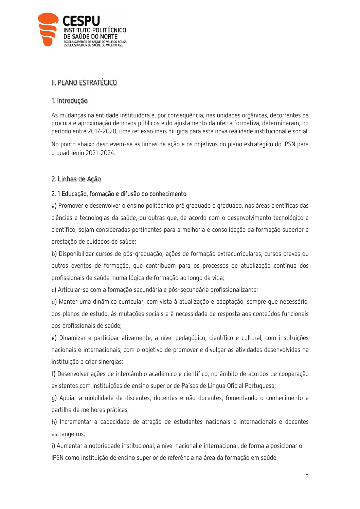

# II. PLANO ESTRATÉGICO

## 1. Introdução

As mudanças na entidade instituidora e, por conseguência, nas unidades orgânicas, decorrentes da procura e aproximação de novos públicos e do ajustamento da oferta formativa, determinaram, no período entre 2017-2020, uma reflexão mais dirigida para esta nova realidade institucional e social.

No ponto abaixo descrevem-se as linhas de ação e os objetivos do plano estratégico do IPSN para o quadriénio 2021-2024.

## 2. Linhas de Ação

## 2.1 Educação, formação e difusão do conhecimento

a) Promover e desenvolver o ensino politécnico pré graduado e graduado, nas áreas científicas das ciências e tecnologias da saúde, ou outras que, de acordo com o desenvolvimento tecnológico e científico, sejam consideradas pertinentes para a melhoria e consolidação da formação superior e prestação de cuidados de saúde;

b) Disponibilizar cursos de pós-graduação, ações de formação extracurriculares, cursos breves ou outros eventos de formação, que contribuam para os processos de atualização contínua dos profissionais de saúde, numa lógica de formação ao longo da vida;

c) Articular-se com a formação secundária e pós-secundária profissionalizante;

d) Manter uma dinâmica curricular, com vista à atualização e adaptação, sempre que necessário, dos planos de estudo, às mutações sociais e à necessidade de resposta aos conteúdos funcionais dos profissionais de saúde;

e) Dinamizar e participar ativamente, a nível pedagógico, científico e cultural, com instituições nacionais e internacionais, com o objetivo de promover e divulgar as atividades desenvolvidas na instituição e criar sinergias;

f) Desenvolver ações de intercâmbio académico e científico, no âmbito de acordos de cooperação existentes com instituições de ensino superior de Países de Língua Oficial Portuguesa;

g) Apoiar a mobilidade de discentes, docentes e não docentes, fomentando o conhecimento e partilha de melhores práticas;

h) Incrementar a capacidade de atração de estudantes nacionais e internacionais e docentes estrangeiros;

i) Aumentar a notoriedade institucional, a nível nacional e internacional, de forma a posicionar o IPSN como instituição de ensino superior de referência na área da formação em saúde.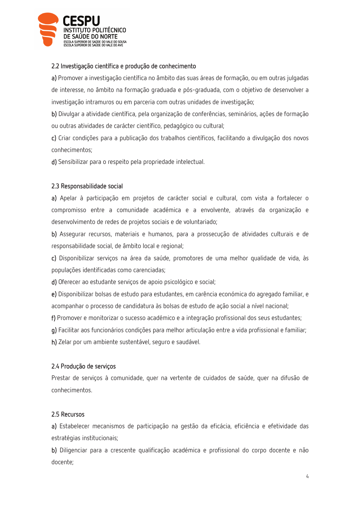

## 2.2 Investigação científica e produção de conhecimento

a) Promover a investigação científica no âmbito das suas áreas de formação, ou em outras julgadas de interesse, no âmbito na formação graduada e pós-graduada, com o obietivo de desenvolver a investigação intramuros ou em parceria com outras unidades de investigação;

b) Divulgar a atividade científica, pela organização de conferências, seminários, ações de formação ou outras atividades de carácter científico, pedagógico ou cultural;

c) Criar condições para a publicação dos trabalhos científicos, facilitando a divulgação dos novos conhecimentos:

d) Sensibilizar para o respeito pela propriedade intelectual.

## 2.3 Responsabilidade social

a) Apelar à participação em projetos de carácter social e cultural, com vista a fortalecer o compromisso entre a comunidade académica e a envolvente, através da organização e desenvolvimento de redes de projetos sociais e de voluntariado;

b) Assegurar recursos, materiais e humanos, para a prossecução de atividades culturais e de responsabilidade social, de âmbito local e regional;

c) Disponibilizar serviços na área da saúde, promotores de uma melhor qualidade de vida, às populações identificadas como carenciadas;

d) Oferecer ao estudante servicos de apoio psicológico e social;

e) Disponibilizar bolsas de estudo para estudantes, em carência económica do agregado familiar, e acompanhar o processo de candidatura às bolsas de estudo de ação social a nível nacional;

f) Promover e monitorizar o sucesso académico e a integração profissional dos seus estudantes;

g) Facilitar aos funcionários condições para melhor articulação entre a vida profissional e familiar;

h) Zelar por um ambiente sustentável, seguro e saudável.

# 2.4 Produção de servicos

Prestar de serviços à comunidade, quer na vertente de cuidados de saúde, quer na difusão de conhecimentos.

# 2.5 Recursos

a) Estabelecer mecanismos de participação na gestão da eficácia, eficiência e efetividade das estratégias institucionais;

b) Diligenciar para a crescente qualificação académica e profissional do corpo docente e não docente;